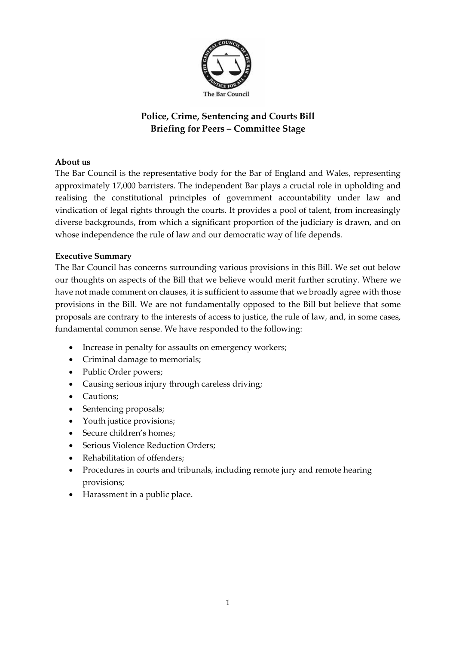

# **Police, Crime, Sentencing and Courts Bill Briefing for Peers – Committee Stage**

## <span id="page-0-0"></span>**About us**

The Bar Council is the representative body for the Bar of England and Wales, representing approximately 17,000 barristers. The independent Bar plays a crucial role in upholding and realising the constitutional principles of government accountability under law and vindication of legal rights through the courts. It provides a pool of talent, from increasingly diverse backgrounds, from which a significant proportion of the judiciary is drawn, and on whose independence the rule of law and our democratic way of life depends.

## <span id="page-0-1"></span>**Executive Summary**

The Bar Council has concerns surrounding various provisions in this Bill. We set out below our thoughts on aspects of the Bill that we believe would merit further scrutiny. Where we have not made comment on clauses, it is sufficient to assume that we broadly agree with those provisions in the Bill. We are not fundamentally opposed to the Bill but believe that some proposals are contrary to the interests of access to justice, the rule of law, and, in some cases, fundamental common sense. We have responded to the following:

- Increase in penalty for assaults on emergency workers;
- Criminal damage to memorials;
- Public Order powers;
- Causing serious injury through careless driving;
- Cautions:
- Sentencing proposals;
- Youth justice provisions;
- Secure children's homes;
- Serious Violence Reduction Orders:
- Rehabilitation of offenders;
- Procedures in courts and tribunals, including remote jury and remote hearing provisions;
- Harassment in a public place.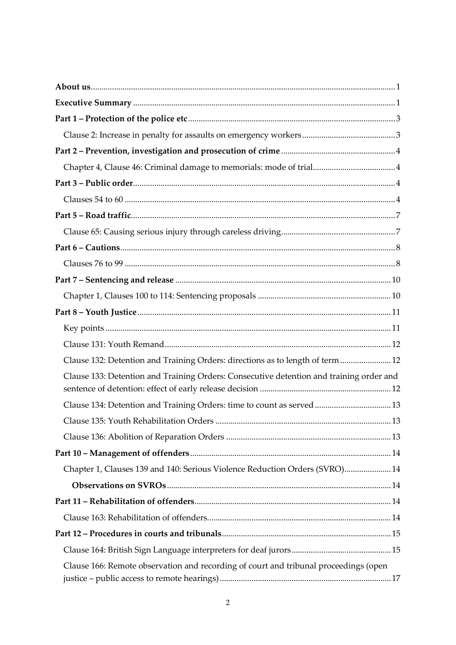| Clause 132: Detention and Training Orders: directions as to length of term  12          |  |
|-----------------------------------------------------------------------------------------|--|
| Clause 133: Detention and Training Orders: Consecutive detention and training order and |  |
| Clause 134: Detention and Training Orders: time to count as served  13                  |  |
|                                                                                         |  |
|                                                                                         |  |
|                                                                                         |  |
| Chapter 1, Clauses 139 and 140: Serious Violence Reduction Orders (SVRO) 14             |  |
|                                                                                         |  |
|                                                                                         |  |
|                                                                                         |  |
|                                                                                         |  |
|                                                                                         |  |
| Clause 166: Remote observation and recording of court and tribunal proceedings (open    |  |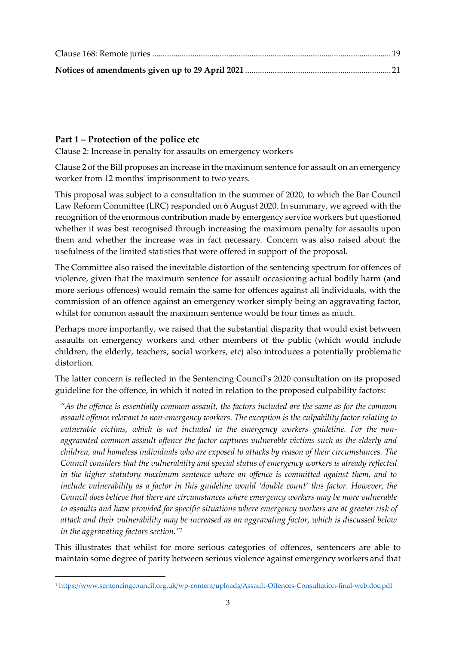## <span id="page-2-0"></span>**Part 1 – Protection of the police etc**

<span id="page-2-1"></span>Clause 2: Increase in penalty for assaults on emergency workers

Clause 2 of the Bill proposes an increase in the maximum sentence for assault on an emergency worker from 12 months' imprisonment to two years.

This proposal was subject to a consultation in the summer of 2020, to which the Bar Council Law Reform Committee (LRC) responded on 6 August 2020. In summary, we agreed with the recognition of the enormous contribution made by emergency service workers but questioned whether it was best recognised through increasing the maximum penalty for assaults upon them and whether the increase was in fact necessary. Concern was also raised about the usefulness of the limited statistics that were offered in support of the proposal.

The Committee also raised the inevitable distortion of the sentencing spectrum for offences of violence, given that the maximum sentence for assault occasioning actual bodily harm (and more serious offences) would remain the same for offences against all individuals, with the commission of an offence against an emergency worker simply being an aggravating factor, whilst for common assault the maximum sentence would be four times as much.

Perhaps more importantly, we raised that the substantial disparity that would exist between assaults on emergency workers and other members of the public (which would include children, the elderly, teachers, social workers, etc) also introduces a potentially problematic distortion.

The latter concern is reflected in the Sentencing Council's 2020 consultation on its proposed guideline for the offence, in which it noted in relation to the proposed culpability factors:

*"As the offence is essentially common assault, the factors included are the same as for the common assault offence relevant to non-emergency workers. The exception is the culpability factor relating to vulnerable victims, which is not included in the emergency workers guideline. For the nonaggravated common assault offence the factor captures vulnerable victims such as the elderly and children, and homeless individuals who are exposed to attacks by reason of their circumstances. The Council considers that the vulnerability and special status of emergency workers is already reflected in the higher statutory maximum sentence where an offence is committed against them, and to include vulnerability as a factor in this guideline would 'double count' this factor. However, the Council does believe that there are circumstances where emergency workers may be more vulnerable to assaults and have provided for specific situations where emergency workers are at greater risk of attack and their vulnerability may be increased as an aggravating factor, which is discussed below in the aggravating factors section." 1*

This illustrates that whilst for more serious categories of offences, sentencers are able to maintain some degree of parity between serious violence against emergency workers and that

<sup>1</sup> <https://www.sentencingcouncil.org.uk/wp-content/uploads/Assault-Offences-Consultation-final-web.doc.pdf>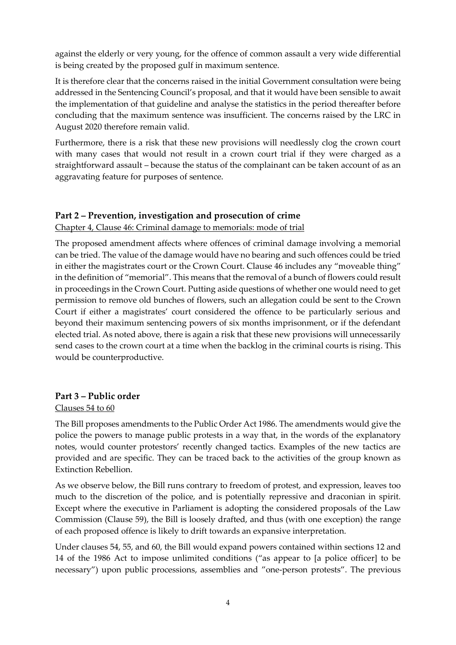against the elderly or very young, for the offence of common assault a very wide differential is being created by the proposed gulf in maximum sentence.

It is therefore clear that the concerns raised in the initial Government consultation were being addressed in the Sentencing Council's proposal, and that it would have been sensible to await the implementation of that guideline and analyse the statistics in the period thereafter before concluding that the maximum sentence was insufficient. The concerns raised by the LRC in August 2020 therefore remain valid.

Furthermore, there is a risk that these new provisions will needlessly clog the crown court with many cases that would not result in a crown court trial if they were charged as a straightforward assault – because the status of the complainant can be taken account of as an aggravating feature for purposes of sentence.

## <span id="page-3-0"></span>**Part 2 – Prevention, investigation and prosecution of crime**

<span id="page-3-1"></span>Chapter 4, Clause 46: Criminal damage to memorials: mode of trial

The proposed amendment affects where offences of criminal damage involving a memorial can be tried. The value of the damage would have no bearing and such offences could be tried in either the magistrates court or the Crown Court. Clause 46 includes any "moveable thing" in the definition of "memorial". This means that the removal of a bunch of flowers could result in proceedings in the Crown Court. Putting aside questions of whether one would need to get permission to remove old bunches of flowers, such an allegation could be sent to the Crown Court if either a magistrates' court considered the offence to be particularly serious and beyond their maximum sentencing powers of six months imprisonment, or if the defendant elected trial. As noted above, there is again a risk that these new provisions will unnecessarily send cases to the crown court at a time when the backlog in the criminal courts is rising. This would be counterproductive.

### <span id="page-3-2"></span>**Part 3 – Public order**

#### <span id="page-3-3"></span>Clauses 54 to 60

The Bill proposes amendments to the Public Order Act 1986. The amendments would give the police the powers to manage public protests in a way that, in the words of the explanatory notes, would counter protestors' recently changed tactics. Examples of the new tactics are provided and are specific. They can be traced back to the activities of the group known as Extinction Rebellion.

As we observe below, the Bill runs contrary to freedom of protest, and expression, leaves too much to the discretion of the police, and is potentially repressive and draconian in spirit. Except where the executive in Parliament is adopting the considered proposals of the Law Commission (Clause 59), the Bill is loosely drafted, and thus (with one exception) the range of each proposed offence is likely to drift towards an expansive interpretation.

Under clauses 54, 55, and 60, the Bill would expand powers contained within sections 12 and 14 of the 1986 Act to impose unlimited conditions ("as appear to [a police officer] to be necessary") upon public processions, assemblies and "one-person protests". The previous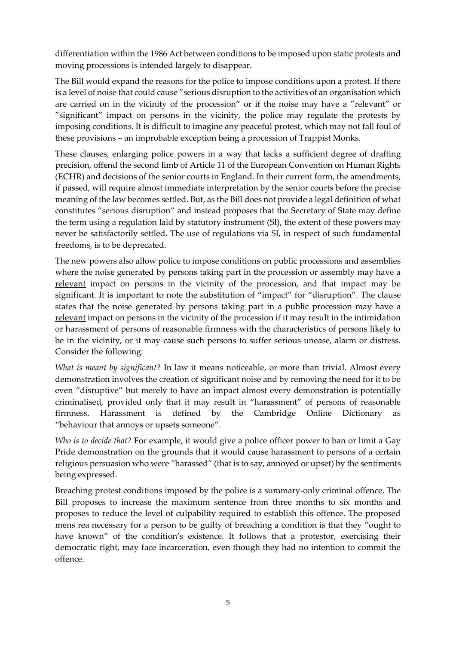differentiation within the 1986 Act between conditions to be imposed upon static protests and moving processions is intended largely to disappear.

The Bill would expand the reasons for the police to impose conditions upon a protest. If there is a level of noise that could cause "serious disruption to the activities of an organisation which are carried on in the vicinity of the procession" or if the noise may have a "relevant" or "significant" impact on persons in the vicinity, the police may regulate the protests by imposing conditions. It is difficult to imagine any peaceful protest, which may not fall foul of these provisions – an improbable exception being a procession of Trappist Monks.

These clauses, enlarging police powers in a way that lacks a sufficient degree of drafting precision, offend the second limb of Article 11 of the European Convention on Human Rights (ECHR) and decisions of the senior courts in England. In their current form, the amendments, if passed, will require almost immediate interpretation by the senior courts before the precise meaning of the law becomes settled. But, as the Bill does not provide a legal definition of what constitutes "serious disruption" and instead proposes that the Secretary of State may define the term using a regulation laid by statutory instrument (SI), the extent of these powers may never be satisfactorily settled. The use of regulations via SI, in respect of such fundamental freedoms, is to be deprecated.

The new powers also allow police to impose conditions on public processions and assemblies where the noise generated by persons taking part in the procession or assembly may have a relevant impact on persons in the vicinity of the procession, and that impact may be significant. It is important to note the substitution of "impact" for "disruption". The clause states that the noise generated by persons taking part in a public procession may have a relevant impact on persons in the vicinity of the procession if it may result in the intimidation or harassment of persons of reasonable firmness with the characteristics of persons likely to be in the vicinity, or it may cause such persons to suffer serious unease, alarm or distress. Consider the following:

*What is meant by significant?* In law it means noticeable, or more than trivial. Almost every demonstration involves the creation of significant noise and by removing the need for it to be even "disruptive" but merely to have an impact almost every demonstration is potentially criminalised, provided only that it may result in "harassment" of persons of reasonable firmness. Harassment is defined by the Cambridge Online Dictionary as "behaviour that annoys or upsets someone".

*Who is to decide that?* For example, it would give a police officer power to ban or limit a Gay Pride demonstration on the grounds that it would cause harassment to persons of a certain religious persuasion who were "harassed" (that is to say, annoyed or upset) by the sentiments being expressed.

Breaching protest conditions imposed by the police is a summary-only criminal offence. The Bill proposes to increase the maximum sentence from three months to six months and proposes to reduce the level of culpability required to establish this offence. The proposed mens rea necessary for a person to be guilty of breaching a condition is that they "ought to have known" of the condition's existence. It follows that a protestor, exercising their democratic right, may face incarceration, even though they had no intention to commit the offence.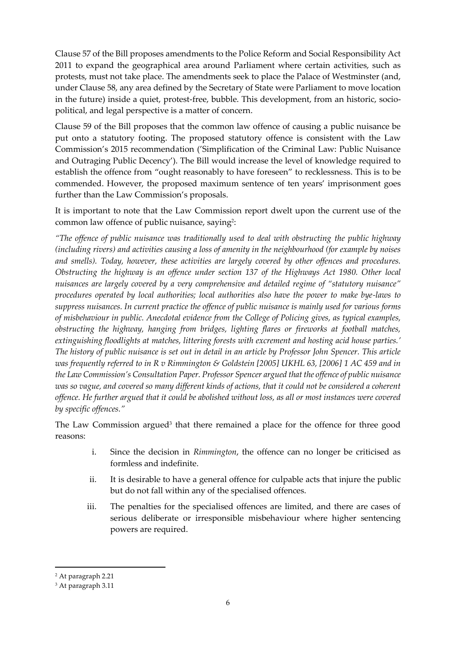Clause 57 of the Bill proposes amendments to the Police Reform and Social Responsibility Act 2011 to expand the geographical area around Parliament where certain activities, such as protests, must not take place. The amendments seek to place the Palace of Westminster (and, under Clause 58, any area defined by the Secretary of State were Parliament to move location in the future) inside a quiet, protest-free, bubble. This development, from an historic, sociopolitical, and legal perspective is a matter of concern.

Clause 59 of the Bill proposes that the common law offence of causing a public nuisance be put onto a statutory footing. The proposed statutory offence is consistent with the Law Commission's 2015 recommendation ('Simplification of the Criminal Law: Public Nuisance and Outraging Public Decency'). The Bill would increase the level of knowledge required to establish the offence from "ought reasonably to have foreseen" to recklessness. This is to be commended. However, the proposed maximum sentence of ten years' imprisonment goes further than the Law Commission's proposals.

It is important to note that the Law Commission report dwelt upon the current use of the common law offence of public nuisance, saying<sup>2</sup>:

*"The offence of public nuisance was traditionally used to deal with obstructing the public highway (including rivers) and activities causing a loss of amenity in the neighbourhood (for example by noises and smells). Today, however, these activities are largely covered by other offences and procedures. Obstructing the highway is an offence under section 137 of the Highways Act 1980. Other local nuisances are largely covered by a very comprehensive and detailed regime of "statutory nuisance" procedures operated by local authorities; local authorities also have the power to make bye-laws to suppress nuisances. In current practice the offence of public nuisance is mainly used for various forms of misbehaviour in public. Anecdotal evidence from the College of Policing gives, as typical examples, obstructing the highway, hanging from bridges, lighting flares or fireworks at football matches, extinguishing floodlights at matches, littering forests with excrement and hosting acid house parties.' The history of public nuisance is set out in detail in an article by Professor John Spencer. This article was frequently referred to in R v Rimmington & Goldstein [2005] UKHL 63, [2006] 1 AC 459 and in the Law Commission's Consultation Paper. Professor Spencer argued that the offence of public nuisance was so vague, and covered so many different kinds of actions, that it could not be considered a coherent offence. He further argued that it could be abolished without loss, as all or most instances were covered by specific offences."* 

The Law Commission argued<sup>3</sup> that there remained a place for the offence for three good reasons:

- i. Since the decision in *Rimmington*, the offence can no longer be criticised as formless and indefinite.
- ii. It is desirable to have a general offence for culpable acts that injure the public but do not fall within any of the specialised offences.
- iii. The penalties for the specialised offences are limited, and there are cases of serious deliberate or irresponsible misbehaviour where higher sentencing powers are required.

<sup>2</sup> At paragraph 2.21

<sup>3</sup> At paragraph 3.11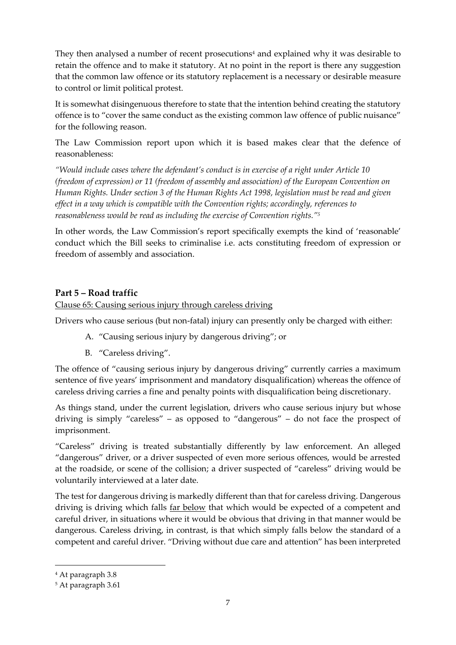They then analysed a number of recent prosecutions<sup>4</sup> and explained why it was desirable to retain the offence and to make it statutory. At no point in the report is there any suggestion that the common law offence or its statutory replacement is a necessary or desirable measure to control or limit political protest.

It is somewhat disingenuous therefore to state that the intention behind creating the statutory offence is to "cover the same conduct as the existing common law offence of public nuisance" for the following reason.

The Law Commission report upon which it is based makes clear that the defence of reasonableness:

*"Would include cases where the defendant's conduct is in exercise of a right under Article 10 (freedom of expression) or 11 (freedom of assembly and association) of the European Convention on Human Rights. Under section 3 of the Human Rights Act 1998, legislation must be read and given effect in a way which is compatible with the Convention rights; accordingly, references to reasonableness would be read as including the exercise of Convention rights."<sup>5</sup>*

In other words, the Law Commission's report specifically exempts the kind of 'reasonable' conduct which the Bill seeks to criminalise i.e. acts constituting freedom of expression or freedom of assembly and association.

## <span id="page-6-0"></span>**Part 5 – Road traffic**

<span id="page-6-1"></span>Clause 65: Causing serious injury through careless driving

Drivers who cause serious (but non-fatal) injury can presently only be charged with either:

- A. "Causing serious injury by dangerous driving"; or
- B. "Careless driving".

The offence of "causing serious injury by dangerous driving" currently carries a maximum sentence of five years' imprisonment and mandatory disqualification) whereas the offence of careless driving carries a fine and penalty points with disqualification being discretionary.

As things stand, under the current legislation, drivers who cause serious injury but whose driving is simply "careless" – as opposed to "dangerous" – do not face the prospect of imprisonment.

"Careless" driving is treated substantially differently by law enforcement. An alleged "dangerous" driver, or a driver suspected of even more serious offences, would be arrested at the roadside, or scene of the collision; a driver suspected of "careless" driving would be voluntarily interviewed at a later date.

The test for dangerous driving is markedly different than that for careless driving. Dangerous driving is driving which falls far below that which would be expected of a competent and careful driver, in situations where it would be obvious that driving in that manner would be dangerous. Careless driving, in contrast, is that which simply falls below the standard of a competent and careful driver. "Driving without due care and attention" has been interpreted

<sup>4</sup> At paragraph 3.8

<sup>5</sup> At paragraph 3.61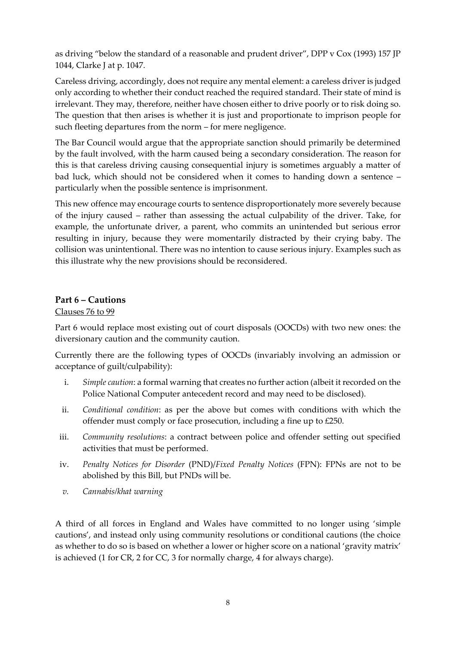as driving "below the standard of a reasonable and prudent driver", DPP v Cox (1993) 157 JP 1044, Clarke J at p. 1047.

Careless driving, accordingly, does not require any mental element: a careless driver is judged only according to whether their conduct reached the required standard. Their state of mind is irrelevant. They may, therefore, neither have chosen either to drive poorly or to risk doing so. The question that then arises is whether it is just and proportionate to imprison people for such fleeting departures from the norm – for mere negligence.

The Bar Council would argue that the appropriate sanction should primarily be determined by the fault involved, with the harm caused being a secondary consideration. The reason for this is that careless driving causing consequential injury is sometimes arguably a matter of bad luck, which should not be considered when it comes to handing down a sentence – particularly when the possible sentence is imprisonment.

This new offence may encourage courts to sentence disproportionately more severely because of the injury caused – rather than assessing the actual culpability of the driver. Take, for example, the unfortunate driver, a parent, who commits an unintended but serious error resulting in injury, because they were momentarily distracted by their crying baby. The collision was unintentional. There was no intention to cause serious injury. Examples such as this illustrate why the new provisions should be reconsidered.

## <span id="page-7-0"></span>**Part 6 – Cautions**

<span id="page-7-1"></span>Clauses 76 to 99

Part 6 would replace most existing out of court disposals (OOCDs) with two new ones: the diversionary caution and the community caution.

Currently there are the following types of OOCDs (invariably involving an admission or acceptance of guilt/culpability):

- i. *Simple caution*: a formal warning that creates no further action (albeit it recorded on the Police National Computer antecedent record and may need to be disclosed).
- ii. *Conditional condition*: as per the above but comes with conditions with which the offender must comply or face prosecution, including a fine up to £250.
- iii. *Community resolutions*: a contract between police and offender setting out specified activities that must be performed.
- iv. *Penalty Notices for Disorder* (PND)/*Fixed Penalty Notices* (FPN): FPNs are not to be abolished by this Bill, but PNDs will be.
- *v. Cannabis/khat warning*

A third of all forces in England and Wales have committed to no longer using 'simple cautions', and instead only using community resolutions or conditional cautions (the choice as whether to do so is based on whether a lower or higher score on a national 'gravity matrix' is achieved (1 for CR, 2 for CC, 3 for normally charge, 4 for always charge).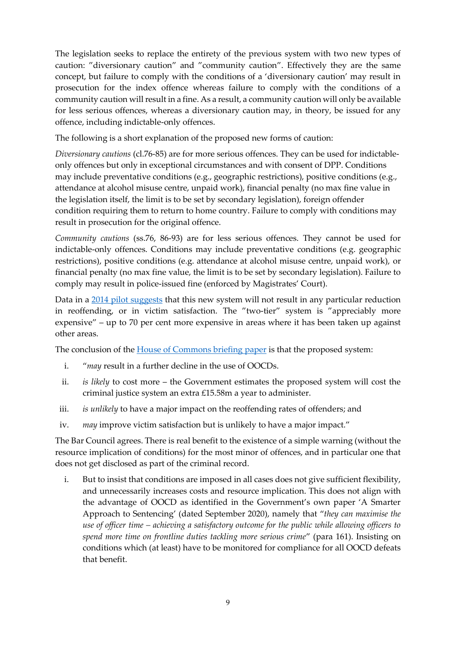The legislation seeks to replace the entirety of the previous system with two new types of caution: "diversionary caution" and "community caution". Effectively they are the same concept, but failure to comply with the conditions of a 'diversionary caution' may result in prosecution for the index offence whereas failure to comply with the conditions of a community caution will result in a fine. As a result, a community caution will only be available for less serious offences, whereas a diversionary caution may, in theory, be issued for any offence, including indictable-only offences.

The following is a short explanation of the proposed new forms of caution:

*Diversionary cautions* (cl.76-85) are for more serious offences. They can be used for indictableonly offences but only in exceptional circumstances and with consent of DPP. Conditions may include preventative conditions (e.g., geographic restrictions), positive conditions (e.g., attendance at alcohol misuse centre, unpaid work), financial penalty (no max fine value in the legislation itself, the limit is to be set by secondary legislation), foreign offender condition requiring them to return to home country. Failure to comply with conditions may result in prosecution for the original offence.

*Community cautions* (ss.76, 86-93) are for less serious offences. They cannot be used for indictable-only offences. Conditions may include preventative conditions (e.g. geographic restrictions), positive conditions (e.g. attendance at alcohol misuse centre, unpaid work), or financial penalty (no max fine value, the limit is to be set by secondary legislation). Failure to comply may result in police-issued fine (enforced by Magistrates' Court).

Data in a [2014 pilot suggests](https://assets.publishing.service.gov.uk/government/uploads/system/uploads/attachment_data/file/718947/adult-out-of-court-disposal-pilot-evaluation.pdf) that this new system will not result in any particular reduction in reoffending, or in victim satisfaction. The "two-tier" system is "appreciably more expensive" – up to 70 per cent more expensive in areas where it has been taken up against other areas.

The conclusion of th[e House of Commons briefing paper](https://commonslibrary.parliament.uk/research-briefings/cbp-9165/) is that the proposed system:

- i. "*may* result in a further decline in the use of OOCDs.
- ii. *is likely* to cost more the Government estimates the proposed system will cost the criminal justice system an extra £15.58m a year to administer.
- iii. *is unlikely* to have a major impact on the reoffending rates of offenders; and
- iv. *may* improve victim satisfaction but is unlikely to have a major impact."

The Bar Council agrees. There is real benefit to the existence of a simple warning (without the resource implication of conditions) for the most minor of offences, and in particular one that does not get disclosed as part of the criminal record.

i. But to insist that conditions are imposed in all cases does not give sufficient flexibility, and unnecessarily increases costs and resource implication. This does not align with the advantage of OOCD as identified in the Government's own paper 'A Smarter Approach to Sentencing' (dated September 2020), namely that "*they can maximise the use of officer time – achieving a satisfactory outcome for the public while allowing officers to spend more time on frontline duties tackling more serious crime*" (para 161). Insisting on conditions which (at least) have to be monitored for compliance for all OOCD defeats that benefit.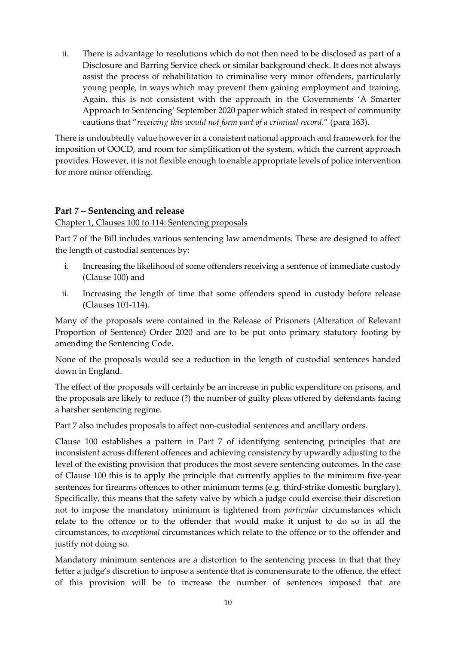ii. There is advantage to resolutions which do not then need to be disclosed as part of a Disclosure and Barring Service check or similar background check. It does not always assist the process of rehabilitation to criminalise very minor offenders, particularly young people, in ways which may prevent them gaining employment and training. Again, this is not consistent with the approach in the Governments 'A Smarter Approach to Sentencing' September 2020 paper which stated in respect of community cautions that "*receiving this would not form part of a criminal record*." (para 163).

There is undoubtedly value however in a consistent national approach and framework for the imposition of OOCD, and room for simplification of the system, which the current approach provides. However, it is not flexible enough to enable appropriate levels of police intervention for more minor offending.

### <span id="page-9-0"></span>**Part 7 – Sentencing and release**

<span id="page-9-1"></span>Chapter 1, Clauses 100 to 114: Sentencing proposals

Part 7 of the Bill includes various sentencing law amendments. These are designed to affect the length of custodial sentences by:

- i. Increasing the likelihood of some offenders receiving a sentence of immediate custody (Clause 100) and
- ii. Increasing the length of time that some offenders spend in custody before release (Clauses 101-114).

Many of the proposals were contained in the Release of Prisoners (Alteration of Relevant Proportion of Sentence) Order 2020 and are to be put onto primary statutory footing by amending the Sentencing Code.

None of the proposals would see a reduction in the length of custodial sentences handed down in England.

The effect of the proposals will certainly be an increase in public expenditure on prisons, and the proposals are likely to reduce (?) the number of guilty pleas offered by defendants facing a harsher sentencing regime.

Part 7 also includes proposals to affect non-custodial sentences and ancillary orders.

Clause 100 establishes a pattern in Part 7 of identifying sentencing principles that are inconsistent across different offences and achieving consistency by upwardly adjusting to the level of the existing provision that produces the most severe sentencing outcomes. In the case of Clause 100 this is to apply the principle that currently applies to the minimum five-year sentences for firearms offences to other minimum terms (e.g. third-strike domestic burglary). Specifically, this means that the safety valve by which a judge could exercise their discretion not to impose the mandatory minimum is tightened from *particular* circumstances which relate to the offence or to the offender that would make it unjust to do so in all the circumstances, to *exceptional* circumstances which relate to the offence or to the offender and justify not doing so.

Mandatory minimum sentences are a distortion to the sentencing process in that that they fetter a judge's discretion to impose a sentence that is commensurate to the offence, the effect of this provision will be to increase the number of sentences imposed that are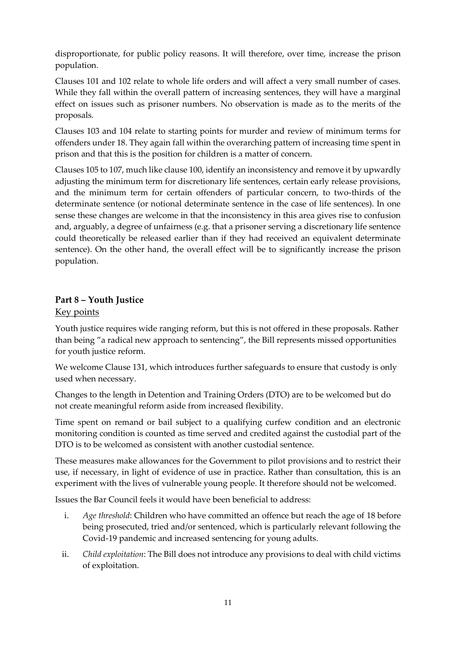disproportionate, for public policy reasons. It will therefore, over time, increase the prison population.

Clauses 101 and 102 relate to whole life orders and will affect a very small number of cases. While they fall within the overall pattern of increasing sentences, they will have a marginal effect on issues such as prisoner numbers. No observation is made as to the merits of the proposals.

Clauses 103 and 104 relate to starting points for murder and review of minimum terms for offenders under 18. They again fall within the overarching pattern of increasing time spent in prison and that this is the position for children is a matter of concern.

Clauses 105 to 107, much like clause 100, identify an inconsistency and remove it by upwardly adjusting the minimum term for discretionary life sentences, certain early release provisions, and the minimum term for certain offenders of particular concern, to two-thirds of the determinate sentence (or notional determinate sentence in the case of life sentences). In one sense these changes are welcome in that the inconsistency in this area gives rise to confusion and, arguably, a degree of unfairness (e.g. that a prisoner serving a discretionary life sentence could theoretically be released earlier than if they had received an equivalent determinate sentence). On the other hand, the overall effect will be to significantly increase the prison population.

## <span id="page-10-0"></span>**Part 8 – Youth Justice**

## <span id="page-10-1"></span>Key points

Youth justice requires wide ranging reform, but this is not offered in these proposals. Rather than being "a radical new approach to sentencing", the Bill represents missed opportunities for youth justice reform.

We welcome Clause 131, which introduces further safeguards to ensure that custody is only used when necessary.

Changes to the length in Detention and Training Orders (DTO) are to be welcomed but do not create meaningful reform aside from increased flexibility.

Time spent on remand or bail subject to a qualifying curfew condition and an electronic monitoring condition is counted as time served and credited against the custodial part of the DTO is to be welcomed as consistent with another custodial sentence.

These measures make allowances for the Government to pilot provisions and to restrict their use, if necessary, in light of evidence of use in practice. Rather than consultation, this is an experiment with the lives of vulnerable young people. It therefore should not be welcomed.

Issues the Bar Council feels it would have been beneficial to address:

- i. *Age threshold*: Children who have committed an offence but reach the age of 18 before being prosecuted, tried and/or sentenced, which is particularly relevant following the Covid-19 pandemic and increased sentencing for young adults.
- ii. *Child exploitation*: The Bill does not introduce any provisions to deal with child victims of exploitation.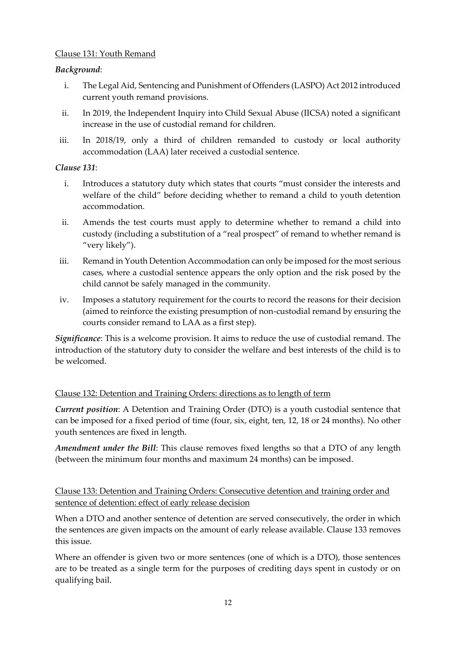### <span id="page-11-0"></span>Clause 131: Youth Remand

### *Background*:

- i. The Legal Aid, Sentencing and Punishment of Offenders (LASPO) Act 2012 introduced current youth remand provisions.
- ii. In 2019, the Independent Inquiry into Child Sexual Abuse (IICSA) noted a significant increase in the use of custodial remand for children.
- iii. In 2018/19, only a third of children remanded to custody or local authority accommodation (LAA) later received a custodial sentence.

#### *Clause 131*:

- i. Introduces a statutory duty which states that courts "must consider the interests and welfare of the child" before deciding whether to remand a child to youth detention accommodation.
- ii. Amends the test courts must apply to determine whether to remand a child into custody (including a substitution of a "real prospect" of remand to whether remand is "very likely").
- iii. Remand in Youth Detention Accommodation can only be imposed for the most serious cases, where a custodial sentence appears the only option and the risk posed by the child cannot be safely managed in the community.
- iv. Imposes a statutory requirement for the courts to record the reasons for their decision (aimed to reinforce the existing presumption of non-custodial remand by ensuring the courts consider remand to LAA as a first step).

*Significance*: This is a welcome provision. It aims to reduce the use of custodial remand. The introduction of the statutory duty to consider the welfare and best interests of the child is to be welcomed.

### <span id="page-11-1"></span>Clause 132: Detention and Training Orders: directions as to length of term

*Current position*: A Detention and Training Order (DTO) is a youth custodial sentence that can be imposed for a fixed period of time (four, six, eight, ten, 12, 18 or 24 months). No other youth sentences are fixed in length.

*Amendment under the Bill*: This clause removes fixed lengths so that a DTO of any length (between the minimum four months and maximum 24 months) can be imposed.

<span id="page-11-2"></span>Clause 133: Detention and Training Orders: Consecutive detention and training order and sentence of detention: effect of early release decision

When a DTO and another sentence of detention are served consecutively, the order in which the sentences are given impacts on the amount of early release available. Clause 133 removes this issue.

Where an offender is given two or more sentences (one of which is a DTO), those sentences are to be treated as a single term for the purposes of crediting days spent in custody or on qualifying bail.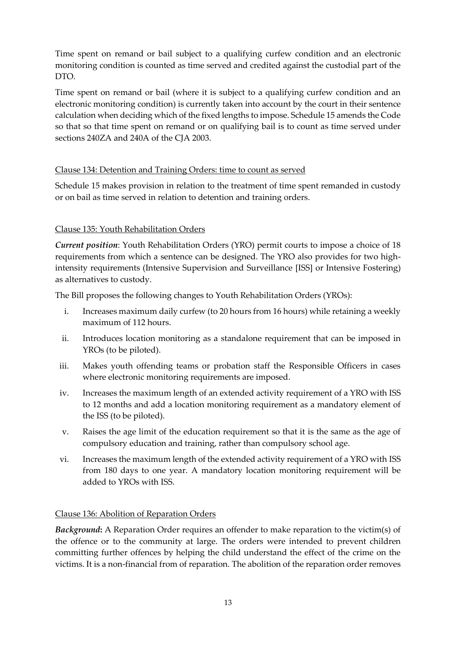Time spent on remand or bail subject to a qualifying curfew condition and an electronic monitoring condition is counted as time served and credited against the custodial part of the DTO.

Time spent on remand or bail (where it is subject to a qualifying curfew condition and an electronic monitoring condition) is currently taken into account by the court in their sentence calculation when deciding which of the fixed lengths to impose. Schedule 15 amends the Code so that so that time spent on remand or on qualifying bail is to count as time served under sections 240ZA and 240A of the CJA 2003.

## <span id="page-12-0"></span>Clause 134: Detention and Training Orders: time to count as served

Schedule 15 makes provision in relation to the treatment of time spent remanded in custody or on bail as time served in relation to detention and training orders.

## <span id="page-12-1"></span>Clause 135: Youth Rehabilitation Orders

*Current position*: Youth Rehabilitation Orders (YRO) permit courts to impose a choice of 18 requirements from which a sentence can be designed. The YRO also provides for two highintensity requirements (Intensive Supervision and Surveillance [ISS] or Intensive Fostering) as alternatives to custody.

The Bill proposes the following changes to Youth Rehabilitation Orders (YROs):

- i. Increases maximum daily curfew (to 20 hours from 16 hours) while retaining a weekly maximum of 112 hours.
- ii. Introduces location monitoring as a standalone requirement that can be imposed in YROs (to be piloted).
- iii. Makes youth offending teams or probation staff the Responsible Officers in cases where electronic monitoring requirements are imposed.
- iv. Increases the maximum length of an extended activity requirement of a YRO with ISS to 12 months and add a location monitoring requirement as a mandatory element of the ISS (to be piloted).
- v. Raises the age limit of the education requirement so that it is the same as the age of compulsory education and training, rather than compulsory school age.
- vi. Increases the maximum length of the extended activity requirement of a YRO with ISS from 180 days to one year. A mandatory location monitoring requirement will be added to YROs with ISS.

### <span id="page-12-2"></span>Clause 136: Abolition of Reparation Orders

*Background***:** A Reparation Order requires an offender to make reparation to the victim(s) of the offence or to the community at large. The orders were intended to prevent children committing further offences by helping the child understand the effect of the crime on the victims. It is a non-financial from of reparation. The abolition of the reparation order removes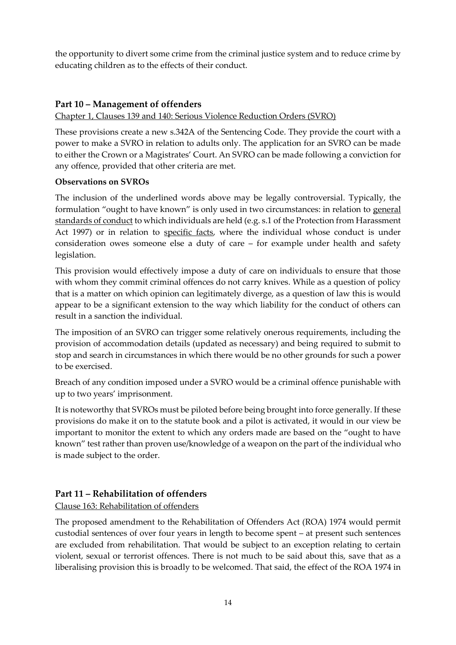the opportunity to divert some crime from the criminal justice system and to reduce crime by educating children as to the effects of their conduct.

## <span id="page-13-0"></span>**Part 10 – Management of offenders**

### <span id="page-13-1"></span>Chapter 1, Clauses 139 and 140: Serious Violence Reduction Orders (SVRO)

These provisions create a new s.342A of the Sentencing Code. They provide the court with a power to make a SVRO in relation to adults only. The application for an SVRO can be made to either the Crown or a Magistrates' Court. An SVRO can be made following a conviction for any offence, provided that other criteria are met.

### <span id="page-13-2"></span>**Observations on SVROs**

The inclusion of the underlined words above may be legally controversial. Typically, the formulation "ought to have known" is only used in two circumstances: in relation to general standards of conduct to which individuals are held (e.g. s.1 of the Protection from Harassment Act 1997) or in relation to specific facts, where the individual whose conduct is under consideration owes someone else a duty of care – for example under health and safety legislation.

This provision would effectively impose a duty of care on individuals to ensure that those with whom they commit criminal offences do not carry knives. While as a question of policy that is a matter on which opinion can legitimately diverge, as a question of law this is would appear to be a significant extension to the way which liability for the conduct of others can result in a sanction the individual.

The imposition of an SVRO can trigger some relatively onerous requirements, including the provision of accommodation details (updated as necessary) and being required to submit to stop and search in circumstances in which there would be no other grounds for such a power to be exercised.

Breach of any condition imposed under a SVRO would be a criminal offence punishable with up to two years' imprisonment.

It is noteworthy that SVROs must be piloted before being brought into force generally. If these provisions do make it on to the statute book and a pilot is activated, it would in our view be important to monitor the extent to which any orders made are based on the "ought to have known" test rather than proven use/knowledge of a weapon on the part of the individual who is made subject to the order.

## <span id="page-13-3"></span>**Part 11 – Rehabilitation of offenders**

<span id="page-13-4"></span>Clause 163: Rehabilitation of offenders

The proposed amendment to the Rehabilitation of Offenders Act (ROA) 1974 would permit custodial sentences of over four years in length to become spent – at present such sentences are excluded from rehabilitation. That would be subject to an exception relating to certain violent, sexual or terrorist offences. There is not much to be said about this, save that as a liberalising provision this is broadly to be welcomed. That said, the effect of the ROA 1974 in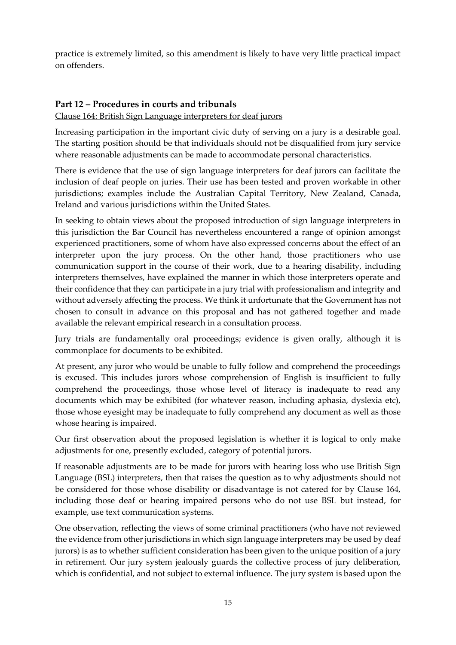practice is extremely limited, so this amendment is likely to have very little practical impact on offenders.

## <span id="page-14-0"></span>**Part 12 – Procedures in courts and tribunals**

### <span id="page-14-1"></span>Clause 164: British Sign Language interpreters for deaf jurors

Increasing participation in the important civic duty of serving on a jury is a desirable goal. The starting position should be that individuals should not be disqualified from jury service where reasonable adjustments can be made to accommodate personal characteristics.

There is evidence that the use of sign language interpreters for deaf jurors can facilitate the inclusion of deaf people on juries. Their use has been tested and proven workable in other jurisdictions; examples include the Australian Capital Territory, New Zealand, Canada, Ireland and various jurisdictions within the United States.

In seeking to obtain views about the proposed introduction of sign language interpreters in this jurisdiction the Bar Council has nevertheless encountered a range of opinion amongst experienced practitioners, some of whom have also expressed concerns about the effect of an interpreter upon the jury process. On the other hand, those practitioners who use communication support in the course of their work, due to a hearing disability, including interpreters themselves, have explained the manner in which those interpreters operate and their confidence that they can participate in a jury trial with professionalism and integrity and without adversely affecting the process. We think it unfortunate that the Government has not chosen to consult in advance on this proposal and has not gathered together and made available the relevant empirical research in a consultation process.

Jury trials are fundamentally oral proceedings; evidence is given orally, although it is commonplace for documents to be exhibited.

At present, any juror who would be unable to fully follow and comprehend the proceedings is excused. This includes jurors whose comprehension of English is insufficient to fully comprehend the proceedings, those whose level of literacy is inadequate to read any documents which may be exhibited (for whatever reason, including aphasia, dyslexia etc), those whose eyesight may be inadequate to fully comprehend any document as well as those whose hearing is impaired.

Our first observation about the proposed legislation is whether it is logical to only make adjustments for one, presently excluded, category of potential jurors.

If reasonable adjustments are to be made for jurors with hearing loss who use British Sign Language (BSL) interpreters, then that raises the question as to why adjustments should not be considered for those whose disability or disadvantage is not catered for by Clause 164, including those deaf or hearing impaired persons who do not use BSL but instead, for example, use text communication systems.

One observation, reflecting the views of some criminal practitioners (who have not reviewed the evidence from other jurisdictions in which sign language interpreters may be used by deaf jurors) is as to whether sufficient consideration has been given to the unique position of a jury in retirement. Our jury system jealously guards the collective process of jury deliberation, which is confidential, and not subject to external influence. The jury system is based upon the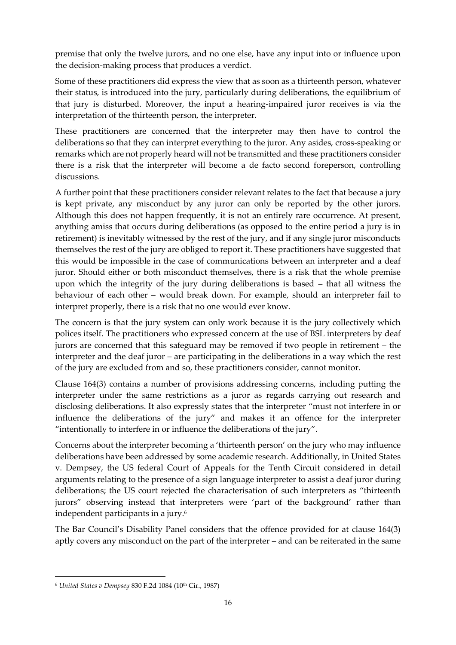premise that only the twelve jurors, and no one else, have any input into or influence upon the decision-making process that produces a verdict.

Some of these practitioners did express the view that as soon as a thirteenth person, whatever their status, is introduced into the jury, particularly during deliberations, the equilibrium of that jury is disturbed. Moreover, the input a hearing-impaired juror receives is via the interpretation of the thirteenth person, the interpreter.

These practitioners are concerned that the interpreter may then have to control the deliberations so that they can interpret everything to the juror. Any asides, cross-speaking or remarks which are not properly heard will not be transmitted and these practitioners consider there is a risk that the interpreter will become a de facto second foreperson, controlling discussions.

A further point that these practitioners consider relevant relates to the fact that because a jury is kept private, any misconduct by any juror can only be reported by the other jurors. Although this does not happen frequently, it is not an entirely rare occurrence. At present, anything amiss that occurs during deliberations (as opposed to the entire period a jury is in retirement) is inevitably witnessed by the rest of the jury, and if any single juror misconducts themselves the rest of the jury are obliged to report it. These practitioners have suggested that this would be impossible in the case of communications between an interpreter and a deaf juror. Should either or both misconduct themselves, there is a risk that the whole premise upon which the integrity of the jury during deliberations is based – that all witness the behaviour of each other – would break down. For example, should an interpreter fail to interpret properly, there is a risk that no one would ever know.

The concern is that the jury system can only work because it is the jury collectively which polices itself. The practitioners who expressed concern at the use of BSL interpreters by deaf jurors are concerned that this safeguard may be removed if two people in retirement – the interpreter and the deaf juror – are participating in the deliberations in a way which the rest of the jury are excluded from and so, these practitioners consider, cannot monitor.

Clause 164(3) contains a number of provisions addressing concerns, including putting the interpreter under the same restrictions as a juror as regards carrying out research and disclosing deliberations. It also expressly states that the interpreter "must not interfere in or influence the deliberations of the jury" and makes it an offence for the interpreter "intentionally to interfere in or influence the deliberations of the jury".

Concerns about the interpreter becoming a 'thirteenth person' on the jury who may influence deliberations have been addressed by some academic research. Additionally, in United States v. Dempsey, the US federal Court of Appeals for the Tenth Circuit considered in detail arguments relating to the presence of a sign language interpreter to assist a deaf juror during deliberations; the US court rejected the characterisation of such interpreters as "thirteenth jurors" observing instead that interpreters were 'part of the background' rather than independent participants in a jury.<sup>6</sup>

The Bar Council's Disability Panel considers that the offence provided for at clause 164(3) aptly covers any misconduct on the part of the interpreter – and can be reiterated in the same

<sup>&</sup>lt;sup>6</sup> United States v Dempsey 830 F.2d 1084 (10<sup>th</sup> Cir., 1987)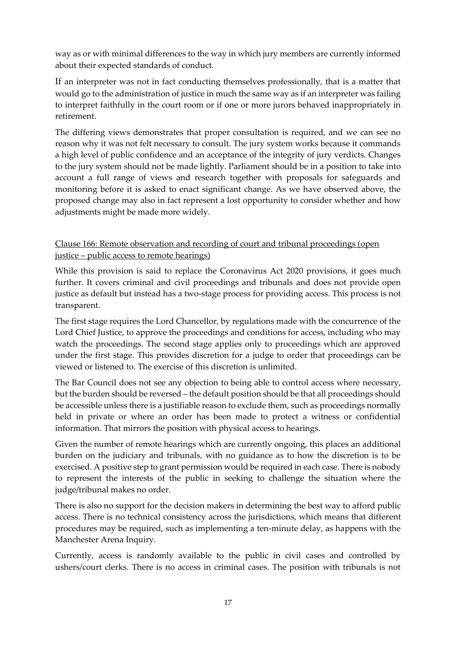way as or with minimal differences to the way in which jury members are currently informed about their expected standards of conduct.

If an interpreter was not in fact conducting themselves professionally, that is a matter that would go to the administration of justice in much the same way as if an interpreter was failing to interpret faithfully in the court room or if one or more jurors behaved inappropriately in retirement.

The differing views demonstrates that proper consultation is required, and we can see no reason why it was not felt necessary to consult. The jury system works because it commands a high level of public confidence and an acceptance of the integrity of jury verdicts. Changes to the jury system should not be made lightly. Parliament should be in a position to take into account a full range of views and research together with proposals for safeguards and monitoring before it is asked to enact significant change. As we have observed above, the proposed change may also in fact represent a lost opportunity to consider whether and how adjustments might be made more widely.

<span id="page-16-0"></span>Clause 166: Remote observation and recording of court and tribunal proceedings (open justice – public access to remote hearings)

While this provision is said to replace the Coronavirus Act 2020 provisions, it goes much further. It covers criminal and civil proceedings and tribunals and does not provide open justice as default but instead has a two-stage process for providing access. This process is not transparent.

The first stage requires the Lord Chancellor, by regulations made with the concurrence of the Lord Chief Justice, to approve the proceedings and conditions for access, including who may watch the proceedings. The second stage applies only to proceedings which are approved under the first stage. This provides discretion for a judge to order that proceedings can be viewed or listened to. The exercise of this discretion is unlimited.

The Bar Council does not see any objection to being able to control access where necessary, but the burden should be reversed – the default position should be that all proceedings should be accessible unless there is a justifiable reason to exclude them, such as proceedings normally held in private or where an order has been made to protect a witness or confidential information. That mirrors the position with physical access to hearings.

Given the number of remote hearings which are currently ongoing, this places an additional burden on the judiciary and tribunals, with no guidance as to how the discretion is to be exercised. A positive step to grant permission would be required in each case. There is nobody to represent the interests of the public in seeking to challenge the situation where the judge/tribunal makes no order.

There is also no support for the decision makers in determining the best way to afford public access. There is no technical consistency across the jurisdictions, which means that different procedures may be required, such as implementing a ten-minute delay, as happens with the Manchester Arena Inquiry.

Currently, access is randomly available to the public in civil cases and controlled by ushers/court clerks. There is no access in criminal cases. The position with tribunals is not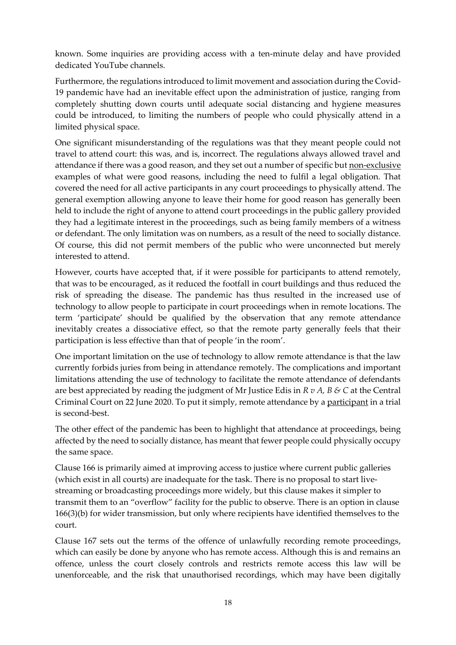known. Some inquiries are providing access with a ten-minute delay and have provided dedicated YouTube channels.

Furthermore, the regulations introduced to limit movement and association during the Covid-19 pandemic have had an inevitable effect upon the administration of justice, ranging from completely shutting down courts until adequate social distancing and hygiene measures could be introduced, to limiting the numbers of people who could physically attend in a limited physical space.

One significant misunderstanding of the regulations was that they meant people could not travel to attend court: this was, and is, incorrect. The regulations always allowed travel and attendance if there was a good reason, and they set out a number of specific but non-exclusive examples of what were good reasons, including the need to fulfil a legal obligation. That covered the need for all active participants in any court proceedings to physically attend. The general exemption allowing anyone to leave their home for good reason has generally been held to include the right of anyone to attend court proceedings in the public gallery provided they had a legitimate interest in the proceedings, such as being family members of a witness or defendant. The only limitation was on numbers, as a result of the need to socially distance. Of course, this did not permit members of the public who were unconnected but merely interested to attend.

However, courts have accepted that, if it were possible for participants to attend remotely, that was to be encouraged, as it reduced the footfall in court buildings and thus reduced the risk of spreading the disease. The pandemic has thus resulted in the increased use of technology to allow people to participate in court proceedings when in remote locations. The term 'participate' should be qualified by the observation that any remote attendance inevitably creates a dissociative effect, so that the remote party generally feels that their participation is less effective than that of people 'in the room'.

One important limitation on the use of technology to allow remote attendance is that the law currently forbids juries from being in attendance remotely. The complications and important limitations attending the use of technology to facilitate the remote attendance of defendants are best appreciated by reading the judgment of Mr Justice Edis in *R v A, B & C* at the Central Criminal Court on 22 June 2020. To put it simply, remote attendance by a participant in a trial is second-best.

The other effect of the pandemic has been to highlight that attendance at proceedings, being affected by the need to socially distance, has meant that fewer people could physically occupy the same space.

Clause 166 is primarily aimed at improving access to justice where current public galleries (which exist in all courts) are inadequate for the task. There is no proposal to start livestreaming or broadcasting proceedings more widely, but this clause makes it simpler to transmit them to an "overflow" facility for the public to observe. There is an option in clause 166(3)(b) for wider transmission, but only where recipients have identified themselves to the court.

Clause 167 sets out the terms of the offence of unlawfully recording remote proceedings, which can easily be done by anyone who has remote access. Although this is and remains an offence, unless the court closely controls and restricts remote access this law will be unenforceable, and the risk that unauthorised recordings, which may have been digitally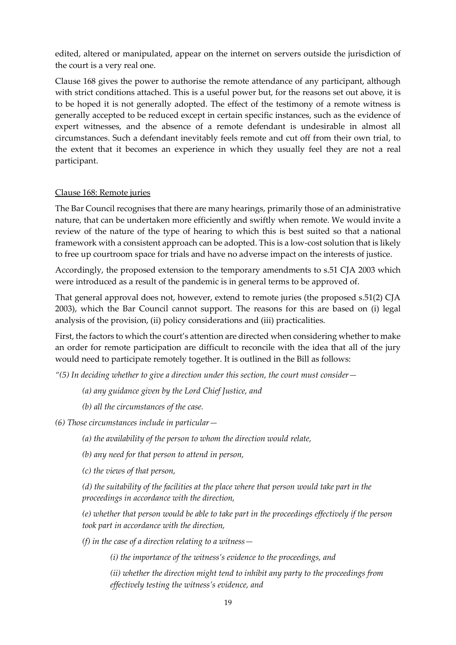edited, altered or manipulated, appear on the internet on servers outside the jurisdiction of the court is a very real one.

Clause 168 gives the power to authorise the remote attendance of any participant, although with strict conditions attached. This is a useful power but, for the reasons set out above, it is to be hoped it is not generally adopted. The effect of the testimony of a remote witness is generally accepted to be reduced except in certain specific instances, such as the evidence of expert witnesses, and the absence of a remote defendant is undesirable in almost all circumstances. Such a defendant inevitably feels remote and cut off from their own trial, to the extent that it becomes an experience in which they usually feel they are not a real participant.

### <span id="page-18-0"></span>Clause 168: Remote juries

The Bar Council recognises that there are many hearings, primarily those of an administrative nature, that can be undertaken more efficiently and swiftly when remote. We would invite a review of the nature of the type of hearing to which this is best suited so that a national framework with a consistent approach can be adopted. This is a low-cost solution that is likely to free up courtroom space for trials and have no adverse impact on the interests of justice.

Accordingly, the proposed extension to the temporary amendments to s.51 CJA 2003 which were introduced as a result of the pandemic is in general terms to be approved of.

That general approval does not, however, extend to remote juries (the proposed s.51(2) CJA 2003), which the Bar Council cannot support. The reasons for this are based on (i) legal analysis of the provision, (ii) policy considerations and (iii) practicalities.

First, the factors to which the court's attention are directed when considering whether to make an order for remote participation are difficult to reconcile with the idea that all of the jury would need to participate remotely together. It is outlined in the Bill as follows:

*"(5) In deciding whether to give a direction under this section, the court must consider—*

*(a) any guidance given by the Lord Chief Justice, and*

*(b) all the circumstances of the case.*

*(6) Those circumstances include in particular—*

*(a) the availability of the person to whom the direction would relate,*

*(b) any need for that person to attend in person,*

*(c) the views of that person,*

*(d) the suitability of the facilities at the place where that person would take part in the proceedings in accordance with the direction,*

*(e) whether that person would be able to take part in the proceedings effectively if the person took part in accordance with the direction,*

*(f) in the case of a direction relating to a witness—*

*(i) the importance of the witness's evidence to the proceedings, and*

*(ii) whether the direction might tend to inhibit any party to the proceedings from effectively testing the witness's evidence, and*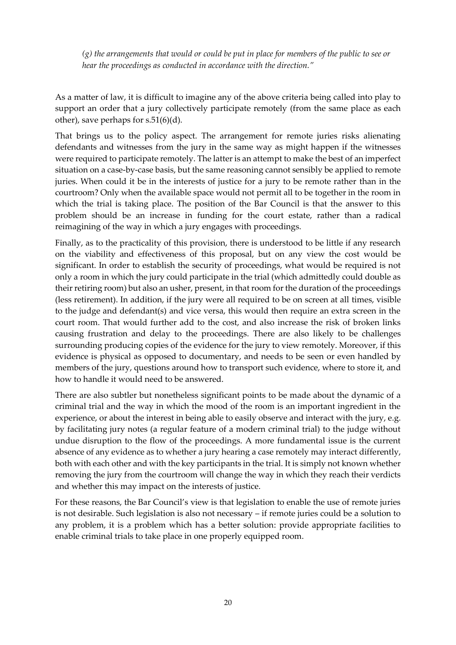*(g) the arrangements that would or could be put in place for members of the public to see or hear the proceedings as conducted in accordance with the direction."*

As a matter of law, it is difficult to imagine any of the above criteria being called into play to support an order that a jury collectively participate remotely (from the same place as each other), save perhaps for s.51(6)(d).

That brings us to the policy aspect. The arrangement for remote juries risks alienating defendants and witnesses from the jury in the same way as might happen if the witnesses were required to participate remotely. The latter is an attempt to make the best of an imperfect situation on a case-by-case basis, but the same reasoning cannot sensibly be applied to remote juries. When could it be in the interests of justice for a jury to be remote rather than in the courtroom? Only when the available space would not permit all to be together in the room in which the trial is taking place. The position of the Bar Council is that the answer to this problem should be an increase in funding for the court estate, rather than a radical reimagining of the way in which a jury engages with proceedings.

Finally, as to the practicality of this provision, there is understood to be little if any research on the viability and effectiveness of this proposal, but on any view the cost would be significant. In order to establish the security of proceedings, what would be required is not only a room in which the jury could participate in the trial (which admittedly could double as their retiring room) but also an usher, present, in that room for the duration of the proceedings (less retirement). In addition, if the jury were all required to be on screen at all times, visible to the judge and defendant(s) and vice versa, this would then require an extra screen in the court room. That would further add to the cost, and also increase the risk of broken links causing frustration and delay to the proceedings. There are also likely to be challenges surrounding producing copies of the evidence for the jury to view remotely. Moreover, if this evidence is physical as opposed to documentary, and needs to be seen or even handled by members of the jury, questions around how to transport such evidence, where to store it, and how to handle it would need to be answered.

There are also subtler but nonetheless significant points to be made about the dynamic of a criminal trial and the way in which the mood of the room is an important ingredient in the experience, or about the interest in being able to easily observe and interact with the jury, e.g. by facilitating jury notes (a regular feature of a modern criminal trial) to the judge without undue disruption to the flow of the proceedings. A more fundamental issue is the current absence of any evidence as to whether a jury hearing a case remotely may interact differently, both with each other and with the key participants in the trial. It is simply not known whether removing the jury from the courtroom will change the way in which they reach their verdicts and whether this may impact on the interests of justice.

For these reasons, the Bar Council's view is that legislation to enable the use of remote juries is not desirable. Such legislation is also not necessary – if remote juries could be a solution to any problem, it is a problem which has a better solution: provide appropriate facilities to enable criminal trials to take place in one properly equipped room.